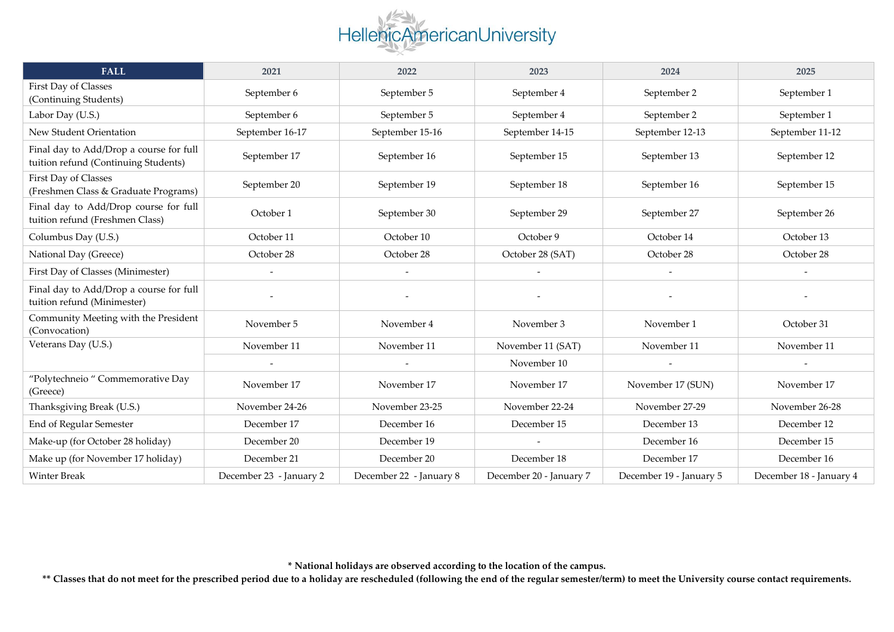

| <b>FALL</b>                                                                     | 2021                    | 2022                    | 2023                    | 2024                    | 2025                    |
|---------------------------------------------------------------------------------|-------------------------|-------------------------|-------------------------|-------------------------|-------------------------|
| First Day of Classes<br>(Continuing Students)                                   | September 6             | September 5             | September 4             | September 2             | September 1             |
| Labor Day (U.S.)                                                                | September 6             | September 5             | September 4             | September 2             | September 1             |
| New Student Orientation                                                         | September 16-17         | September 15-16         | September 14-15         | September 12-13         | September 11-12         |
| Final day to Add/Drop a course for full<br>tuition refund (Continuing Students) | September 17            | September 16            | September 15            | September 13            | September 12            |
| First Day of Classes<br>(Freshmen Class & Graduate Programs)                    | September 20            | September 19            | September 18            | September 16            | September 15            |
| Final day to Add/Drop course for full<br>tuition refund (Freshmen Class)        | October 1               | September 30            | September 29            | September 27            | September 26            |
| Columbus Day (U.S.)                                                             | October 11              | October 10              | October 9               | October 14              | October 13              |
| National Day (Greece)                                                           | October 28              | October 28              | October 28 (SAT)        | October 28              | October 28              |
| First Day of Classes (Minimester)                                               |                         |                         |                         |                         |                         |
| Final day to Add/Drop a course for full<br>tuition refund (Minimester)          |                         |                         |                         |                         |                         |
| Community Meeting with the President<br>(Convocation)                           | November 5              | November 4              | November 3              | November 1              | October 31              |
| Veterans Day (U.S.)                                                             | November 11             | November 11             | November 11 (SAT)       | November 11             | November 11             |
|                                                                                 |                         |                         | November 10             |                         |                         |
| "Polytechneio " Commemorative Day<br>(Greece)                                   | November 17             | November 17             | November 17             | November 17 (SUN)       | November 17             |
| Thanksgiving Break (U.S.)                                                       | November 24-26          | November 23-25          | November 22-24          | November 27-29          | November 26-28          |
| End of Regular Semester                                                         | December 17             | December 16             | December 15             | December 13             | December 12             |
| Make-up (for October 28 holiday)                                                | December 20             | December 19             | $\sim$                  | December 16             | December 15             |
| Make up (for November 17 holiday)                                               | December 21             | December 20             | December 18             | December 17             | December 16             |
| <b>Winter Break</b>                                                             | December 23 - January 2 | December 22 - January 8 | December 20 - January 7 | December 19 - January 5 | December 18 - January 4 |

**\* National holidays are observed according to the location of the campus.**

**\*\* Classes that do not meet for the prescribed period due to a holiday are rescheduled (following the end of the regular semester/term) to meet the University course contact requirements.**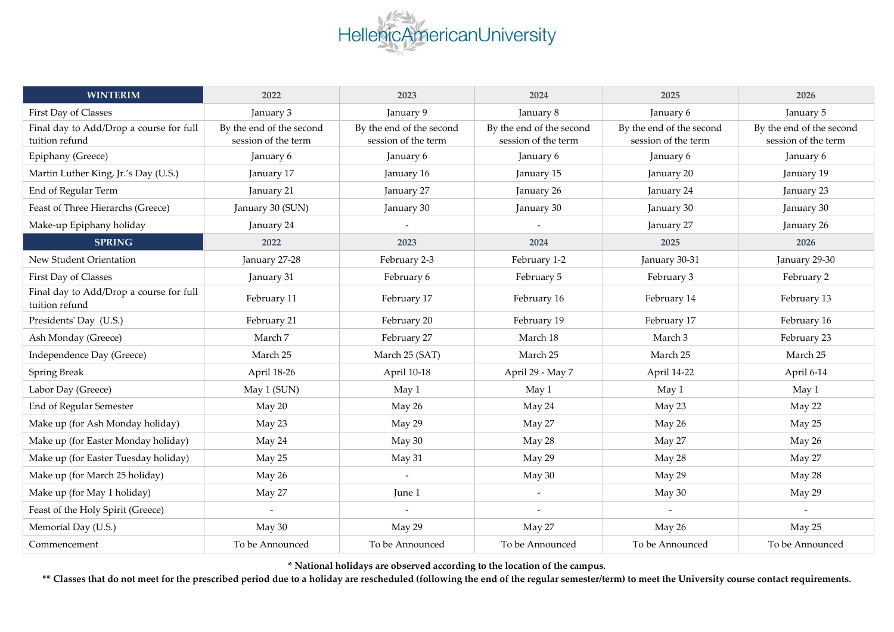

| <b>WINTERIM</b>                                           | 2022                                            | 2023                                            | 2024                                            | 2025                                            | 2026                                            |
|-----------------------------------------------------------|-------------------------------------------------|-------------------------------------------------|-------------------------------------------------|-------------------------------------------------|-------------------------------------------------|
| First Day of Classes                                      | January 3                                       | January 9                                       | January 8                                       | January 6                                       | January 5                                       |
| Final day to Add/Drop a course for full<br>tuition refund | By the end of the second<br>session of the term | By the end of the second<br>session of the term | By the end of the second<br>session of the term | By the end of the second<br>session of the term | By the end of the second<br>session of the term |
| Epiphany (Greece)                                         | January 6                                       | January 6                                       | January 6                                       | January 6                                       | January 6                                       |
| Martin Luther King, Jr.'s Day (U.S.)                      | January 17                                      | January 16                                      | January 15                                      | January 20                                      | January 19                                      |
| End of Regular Term                                       | January 21                                      | January 27                                      | January 26                                      | January 24                                      | January 23                                      |
| Feast of Three Hierarchs (Greece)                         | January 30 (SUN)                                | January 30                                      | January 30                                      | January 30                                      | January 30                                      |
| Make-up Epiphany holiday                                  | January 24                                      |                                                 |                                                 | January 27                                      | January 26                                      |
| <b>SPRING</b>                                             | 2022                                            | 2023                                            | 2024                                            | 2025                                            | 2026                                            |
| New Student Orientation                                   | January 27-28                                   | February 2-3                                    | February 1-2                                    | January 30-31                                   | January 29-30                                   |
| First Day of Classes                                      | January 31                                      | February 6                                      | February 5                                      | February 3                                      | February 2                                      |
| Final day to Add/Drop a course for full<br>tuition refund | February 11                                     | February 17                                     | February 16                                     | February 14                                     | February 13                                     |
| Presidents' Day (U.S.)                                    | February 21                                     | February 20                                     | February 19                                     | February 17                                     | February 16                                     |
| Ash Monday (Greece)                                       | March 7                                         | February 27                                     | March 18                                        | March 3                                         | February 23                                     |
| Independence Day (Greece)                                 | March 25                                        | March 25 (SAT)                                  | March 25                                        | March 25                                        | March 25                                        |
| Spring Break                                              | April 18-26                                     | April 10-18                                     | April 29 - May 7                                | April 14-22                                     | April 6-14                                      |
| Labor Day (Greece)                                        | May 1 (SUN)                                     | May 1                                           | May 1                                           | May 1                                           | May 1                                           |
| End of Regular Semester                                   | May 20                                          | May 26                                          | May 24                                          | May 23                                          | May 22                                          |
| Make up (for Ash Monday holiday)                          | May 23                                          | May 29                                          | May 27                                          | May 26                                          | May 25                                          |
| Make up (for Easter Monday holiday)                       | May 24                                          | May 30                                          | May 28                                          | May 27                                          | May 26                                          |
| Make up (for Easter Tuesday holiday)                      | May 25                                          | May 31                                          | May 29                                          | May 28                                          | May 27                                          |
| Make up (for March 25 holiday)                            | May 26                                          |                                                 | May 30                                          | May 29                                          | May 28                                          |
| Make up (for May 1 holiday)                               | May 27                                          | June 1                                          |                                                 | May 30                                          | May 29                                          |
| Feast of the Holy Spirit (Greece)                         |                                                 |                                                 |                                                 |                                                 |                                                 |
| Memorial Day (U.S.)                                       | May 30                                          | May 29                                          | May 27                                          | May 26                                          | May 25                                          |
| Commencement                                              | To be Announced                                 | To be Announced                                 | To be Announced                                 | To be Announced                                 | To be Announced                                 |

**\* National holidays are observed according to the location of the campus.**

**\*\* Classes that do not meet for the prescribed period due to a holiday are rescheduled (following the end of the regular semester/term) to meet the University course contact requirements.**